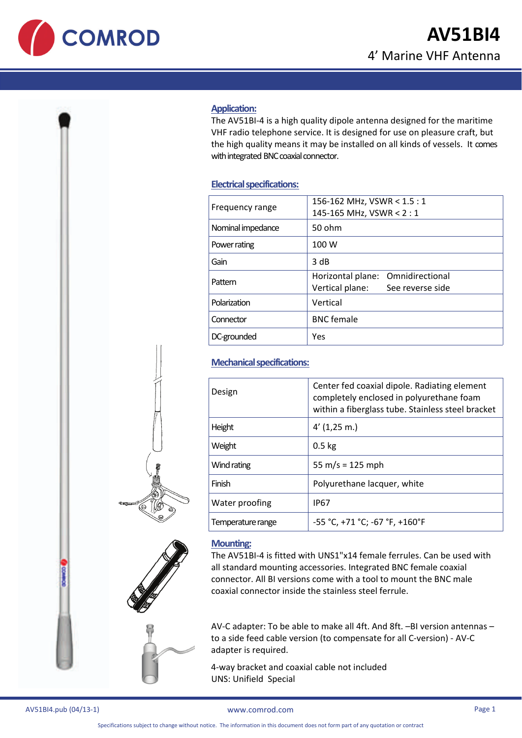



### **Application:**

The AV51BI‐4 is a high quality dipole antenna designed for the maritime VHF radio telephone service. It is designed for use on pleasure craft, but the high quality means it may be installed on all kinds of vessels. It comes with integrated BNC coaxial connector.

## **Electrical specifications:**

| Frequency range   | 156-162 MHz, $VSWR < 1.5:1$<br>145-165 MHz, VSWR < 2:1                |
|-------------------|-----------------------------------------------------------------------|
| Nominal impedance | 50 ohm                                                                |
| Power rating      | 100 W                                                                 |
| Gain              | 3 dB                                                                  |
| Pattern           | Horizontal plane: Omnidirectional<br>Vertical plane: See reverse side |
| Polarization      | Vertical                                                              |
| Connector         | <b>BNC</b> female                                                     |
| DC-grounded       | Yes                                                                   |
|                   |                                                                       |

# **Mechanical specifications:**

| Design            | Center fed coaxial dipole. Radiating element<br>completely enclosed in polyurethane foam<br>within a fiberglass tube. Stainless steel bracket |
|-------------------|-----------------------------------------------------------------------------------------------------------------------------------------------|
| Height            | $4'$ (1,25 m.)                                                                                                                                |
| Weight            | $0.5$ kg                                                                                                                                      |
| Wind rating       | 55 m/s = $125$ mph                                                                                                                            |
| Finish            | Polyurethane lacquer, white                                                                                                                   |
| Water proofing    | <b>IP67</b>                                                                                                                                   |
| Temperature range | $-55 °C$ , $+71 °C$ ; $-67 °F$ , $+160 °F$                                                                                                    |

### **Mounting:**

The AV51BI-4 is fitted with UNS1"x14 female ferrules. Can be used with all standard mounting accessories. Integrated BNC female coaxial connector. All BI versions come with a tool to mount the BNC male coaxial connector inside the stainless steel ferrule.

AV‐C adapter: To be able to make all 4ft. And 8ft. –BI version antennas – to a side feed cable version (to compensate for all C‐version) ‐ AV‐C adapter is required.

4‐way bracket and coaxial cable not included UNS: Unifield Special